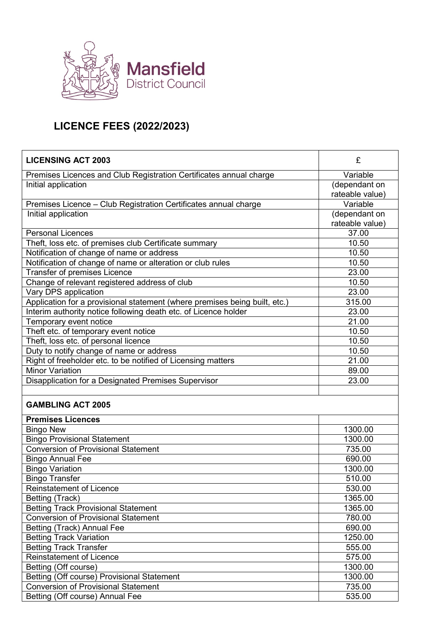

## **LICENCE FEES (2022/2023)**

| <b>LICENSING ACT 2003</b>                                                  | £                                |
|----------------------------------------------------------------------------|----------------------------------|
| Premises Licences and Club Registration Certificates annual charge         | Variable                         |
| Initial application                                                        | (dependant on<br>rateable value) |
| Premises Licence - Club Registration Certificates annual charge            | Variable                         |
| Initial application                                                        | (dependant on<br>rateable value) |
| <b>Personal Licences</b>                                                   | 37.00                            |
| Theft, loss etc. of premises club Certificate summary                      | 10.50                            |
| Notification of change of name or address                                  | 10.50                            |
| Notification of change of name or alteration or club rules                 | 10.50                            |
| Transfer of premises Licence                                               | 23.00                            |
| Change of relevant registered address of club                              | 10.50                            |
| Vary DPS application                                                       | 23.00                            |
| Application for a provisional statement (where premises being built, etc.) | 315.00                           |
| Interim authority notice following death etc. of Licence holder            | 23.00                            |
| Temporary event notice                                                     | 21.00                            |
| Theft etc. of temporary event notice                                       | 10.50                            |
| Theft, loss etc. of personal licence                                       | 10.50                            |
| Duty to notify change of name or address                                   | 10.50                            |
| Right of freeholder etc. to be notified of Licensing matters               | 21.00                            |
| <b>Minor Variation</b>                                                     | 89.00                            |
| Disapplication for a Designated Premises Supervisor                        | 23.00                            |
|                                                                            |                                  |
| <b>GAMBLING ACT 2005</b>                                                   |                                  |
| <b>Premises Licences</b>                                                   |                                  |
| <b>Bingo New</b>                                                           | 1300.00                          |
| <b>Bingo Provisional Statement</b>                                         | 1300.00                          |
| <b>Conversion of Provisional Statement</b>                                 | 735.00                           |
| <b>Bingo Annual Fee</b>                                                    | 690.00                           |
| <b>Bingo Variation</b>                                                     | 1300.00                          |
| <b>Bingo Transfer</b>                                                      | 510.00                           |
| <b>Reinstatement of Licence</b>                                            | 530.00                           |
| Betting (Track)                                                            | 1365.00                          |
| <b>Betting Track Provisional Statement</b>                                 | 1365.00                          |
| <b>Conversion of Provisional Statement</b>                                 | 780.00                           |
| Betting (Track) Annual Fee                                                 | 690.00                           |
| <b>Betting Track Variation</b>                                             | 1250.00                          |
| <b>Betting Track Transfer</b>                                              | 555.00                           |
| <b>Reinstatement of Licence</b>                                            | 575.00                           |
| Betting (Off course)                                                       | 1300.00                          |
| Betting (Off course) Provisional Statement                                 | 1300.00                          |
| <b>Conversion of Provisional Statement</b>                                 | 735.00                           |
| Betting (Off course) Annual Fee                                            | 535.00                           |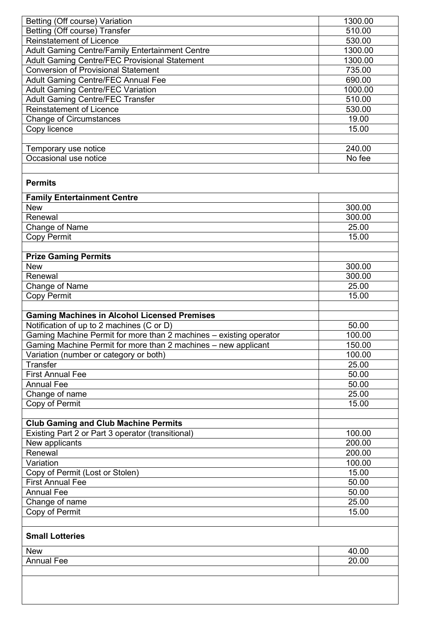| Betting (Off course) Variation                                     | 1300.00 |
|--------------------------------------------------------------------|---------|
| Betting (Off course) Transfer                                      | 510.00  |
| <b>Reinstatement of Licence</b>                                    | 530.00  |
| <b>Adult Gaming Centre/Family Entertainment Centre</b>             | 1300.00 |
| Adult Gaming Centre/FEC Provisional Statement                      | 1300.00 |
| <b>Conversion of Provisional Statement</b>                         | 735.00  |
| <b>Adult Gaming Centre/FEC Annual Fee</b>                          | 690.00  |
| <b>Adult Gaming Centre/FEC Variation</b>                           | 1000.00 |
| <b>Adult Gaming Centre/FEC Transfer</b>                            | 510.00  |
| <b>Reinstatement of Licence</b>                                    | 530.00  |
| <b>Change of Circumstances</b>                                     | 19.00   |
| Copy licence                                                       | 15.00   |
|                                                                    |         |
| Temporary use notice                                               | 240.00  |
| Occasional use notice                                              | No fee  |
|                                                                    |         |
| <b>Permits</b>                                                     |         |
|                                                                    |         |
| <b>Family Entertainment Centre</b>                                 |         |
| <b>New</b>                                                         | 300.00  |
| Renewal                                                            | 300.00  |
| Change of Name                                                     | 25.00   |
| <b>Copy Permit</b>                                                 | 15.00   |
|                                                                    |         |
| <b>Prize Gaming Permits</b>                                        |         |
| <b>New</b>                                                         | 300.00  |
| Renewal                                                            | 300.00  |
| Change of Name                                                     | 25.00   |
| Copy Permit                                                        | 15.00   |
|                                                                    |         |
| <b>Gaming Machines in Alcohol Licensed Premises</b>                |         |
| Notification of up to 2 machines (C or D)                          | 50.00   |
| Gaming Machine Permit for more than 2 machines - existing operator | 100.00  |
| Gaming Machine Permit for more than 2 machines - new applicant     | 150.00  |
| Variation (number or category or both)                             | 100.00  |
| Transfer                                                           | 25.00   |
| <b>First Annual Fee</b>                                            | 50.00   |
| <b>Annual Fee</b>                                                  | 50.00   |
| Change of name                                                     | 25.00   |
| Copy of Permit                                                     | 15.00   |
|                                                                    |         |
| <b>Club Gaming and Club Machine Permits</b>                        |         |
| Existing Part 2 or Part 3 operator (transitional)                  | 100.00  |
| New applicants                                                     | 200.00  |
| Renewal                                                            | 200.00  |
| Variation                                                          | 100.00  |
| Copy of Permit (Lost or Stolen)                                    | 15.00   |
| <b>First Annual Fee</b>                                            |         |
|                                                                    | 50.00   |
| <b>Annual Fee</b>                                                  | 50.00   |
| Change of name                                                     | 25.00   |
| Copy of Permit                                                     | 15.00   |
|                                                                    |         |
| <b>Small Lotteries</b>                                             |         |
|                                                                    |         |
| <b>New</b>                                                         | 40.00   |
| <b>Annual Fee</b>                                                  | 20.00   |
|                                                                    |         |
|                                                                    |         |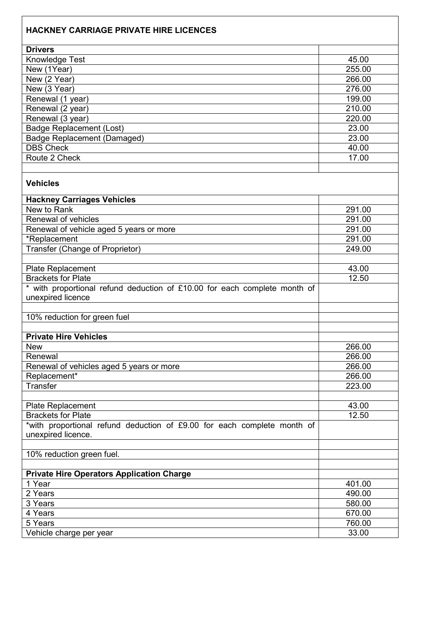| <b>HACKNEY CARRIAGE PRIVATE HIRE LICENCES</b>                                                  |        |
|------------------------------------------------------------------------------------------------|--------|
| <b>Drivers</b>                                                                                 |        |
| Knowledge Test                                                                                 | 45.00  |
| New (1Year)                                                                                    | 255.00 |
| New (2 Year)                                                                                   | 266.00 |
| New (3 Year)                                                                                   | 276.00 |
| Renewal (1 year)                                                                               | 199.00 |
| Renewal (2 year)                                                                               | 210.00 |
| Renewal (3 year)                                                                               | 220.00 |
| <b>Badge Replacement (Lost)</b>                                                                | 23.00  |
| <b>Badge Replacement (Damaged)</b>                                                             | 23.00  |
| <b>DBS Check</b>                                                                               | 40.00  |
| Route 2 Check                                                                                  | 17.00  |
|                                                                                                |        |
| <b>Vehicles</b>                                                                                |        |
| <b>Hackney Carriages Vehicles</b>                                                              |        |
| New to Rank                                                                                    | 291.00 |
| Renewal of vehicles                                                                            | 291.00 |
| Renewal of vehicle aged 5 years or more                                                        | 291.00 |
| *Replacement                                                                                   | 291.00 |
| Transfer (Change of Proprietor)                                                                | 249.00 |
|                                                                                                |        |
| Plate Replacement                                                                              | 43.00  |
| <b>Brackets for Plate</b>                                                                      | 12.50  |
| * with proportional refund deduction of £10.00 for each complete month of<br>unexpired licence |        |
|                                                                                                |        |
| 10% reduction for green fuel                                                                   |        |
|                                                                                                |        |
| <b>Private Hire Vehicles</b>                                                                   |        |
| <b>New</b>                                                                                     | 266.00 |
| Renewal                                                                                        | 266.00 |
| Renewal of vehicles aged 5 years or more                                                       | 266.00 |
| Replacement*                                                                                   | 266.00 |
| Transfer                                                                                       | 223.00 |
|                                                                                                |        |
| Plate Replacement                                                                              | 43.00  |
| <b>Brackets for Plate</b>                                                                      | 12.50  |
| *with proportional refund deduction of £9.00 for each complete month of                        |        |
| unexpired licence.                                                                             |        |
|                                                                                                |        |
| 10% reduction green fuel.                                                                      |        |
|                                                                                                |        |
| <b>Private Hire Operators Application Charge</b>                                               |        |
| 1 Year                                                                                         | 401.00 |
| 2 Years                                                                                        | 490.00 |
| 3 Years                                                                                        | 580.00 |
| 4 Years                                                                                        | 670.00 |
| 5 Years                                                                                        | 760.00 |
| Vehicle charge per year                                                                        | 33.00  |